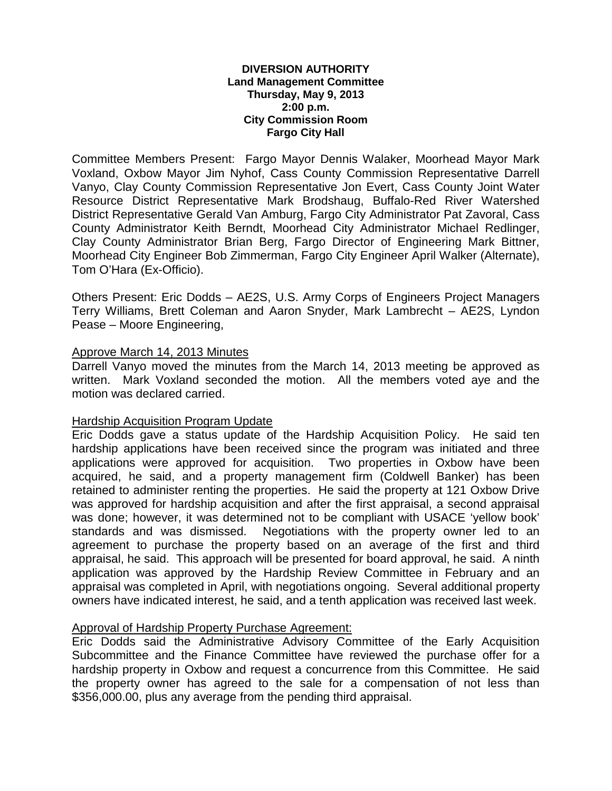#### **DIVERSION AUTHORITY Land Management Committee Thursday, May 9, 2013 2:00 p.m. City Commission Room Fargo City Hall**

Committee Members Present: Fargo Mayor Dennis Walaker, Moorhead Mayor Mark Voxland, Oxbow Mayor Jim Nyhof, Cass County Commission Representative Darrell Vanyo, Clay County Commission Representative Jon Evert, Cass County Joint Water Resource District Representative Mark Brodshaug, Buffalo-Red River Watershed District Representative Gerald Van Amburg, Fargo City Administrator Pat Zavoral, Cass County Administrator Keith Berndt, Moorhead City Administrator Michael Redlinger, Clay County Administrator Brian Berg, Fargo Director of Engineering Mark Bittner, Moorhead City Engineer Bob Zimmerman, Fargo City Engineer April Walker (Alternate), Tom O'Hara (Ex-Officio).

Others Present: Eric Dodds – AE2S, U.S. Army Corps of Engineers Project Managers Terry Williams, Brett Coleman and Aaron Snyder, Mark Lambrecht – AE2S, Lyndon Pease – Moore Engineering,

# Approve March 14, 2013 Minutes

Darrell Vanyo moved the minutes from the March 14, 2013 meeting be approved as written. Mark Voxland seconded the motion. All the members voted aye and the motion was declared carried.

### Hardship Acquisition Program Update

Eric Dodds gave a status update of the Hardship Acquisition Policy. He said ten hardship applications have been received since the program was initiated and three applications were approved for acquisition. Two properties in Oxbow have been acquired, he said, and a property management firm (Coldwell Banker) has been retained to administer renting the properties. He said the property at 121 Oxbow Drive was approved for hardship acquisition and after the first appraisal, a second appraisal was done; however, it was determined not to be compliant with USACE 'yellow book' standards and was dismissed. Negotiations with the property owner led to an agreement to purchase the property based on an average of the first and third appraisal, he said. This approach will be presented for board approval, he said. A ninth application was approved by the Hardship Review Committee in February and an appraisal was completed in April, with negotiations ongoing. Several additional property owners have indicated interest, he said, and a tenth application was received last week.

### Approval of Hardship Property Purchase Agreement:

Eric Dodds said the Administrative Advisory Committee of the Early Acquisition Subcommittee and the Finance Committee have reviewed the purchase offer for a hardship property in Oxbow and request a concurrence from this Committee. He said the property owner has agreed to the sale for a compensation of not less than \$356,000.00, plus any average from the pending third appraisal.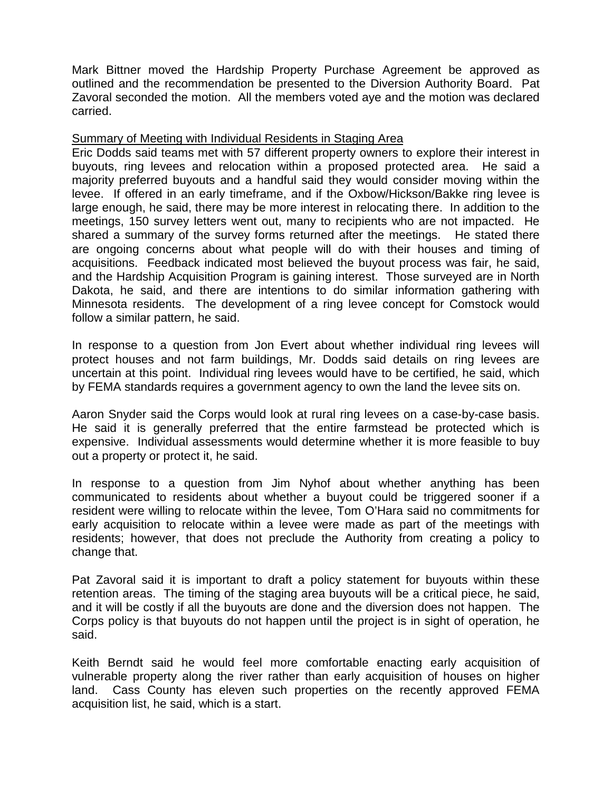Mark Bittner moved the Hardship Property Purchase Agreement be approved as outlined and the recommendation be presented to the Diversion Authority Board. Pat Zavoral seconded the motion. All the members voted aye and the motion was declared carried.

### Summary of Meeting with Individual Residents in Staging Area

Eric Dodds said teams met with 57 different property owners to explore their interest in buyouts, ring levees and relocation within a proposed protected area. He said a majority preferred buyouts and a handful said they would consider moving within the levee. If offered in an early timeframe, and if the Oxbow/Hickson/Bakke ring levee is large enough, he said, there may be more interest in relocating there. In addition to the meetings, 150 survey letters went out, many to recipients who are not impacted. He shared a summary of the survey forms returned after the meetings. He stated there are ongoing concerns about what people will do with their houses and timing of acquisitions. Feedback indicated most believed the buyout process was fair, he said, and the Hardship Acquisition Program is gaining interest. Those surveyed are in North Dakota, he said, and there are intentions to do similar information gathering with Minnesota residents. The development of a ring levee concept for Comstock would follow a similar pattern, he said.

In response to a question from Jon Evert about whether individual ring levees will protect houses and not farm buildings, Mr. Dodds said details on ring levees are uncertain at this point. Individual ring levees would have to be certified, he said, which by FEMA standards requires a government agency to own the land the levee sits on.

Aaron Snyder said the Corps would look at rural ring levees on a case-by-case basis. He said it is generally preferred that the entire farmstead be protected which is expensive. Individual assessments would determine whether it is more feasible to buy out a property or protect it, he said.

In response to a question from Jim Nyhof about whether anything has been communicated to residents about whether a buyout could be triggered sooner if a resident were willing to relocate within the levee, Tom O'Hara said no commitments for early acquisition to relocate within a levee were made as part of the meetings with residents; however, that does not preclude the Authority from creating a policy to change that.

Pat Zavoral said it is important to draft a policy statement for buyouts within these retention areas. The timing of the staging area buyouts will be a critical piece, he said, and it will be costly if all the buyouts are done and the diversion does not happen. The Corps policy is that buyouts do not happen until the project is in sight of operation, he said.

Keith Berndt said he would feel more comfortable enacting early acquisition of vulnerable property along the river rather than early acquisition of houses on higher land. Cass County has eleven such properties on the recently approved FEMA acquisition list, he said, which is a start.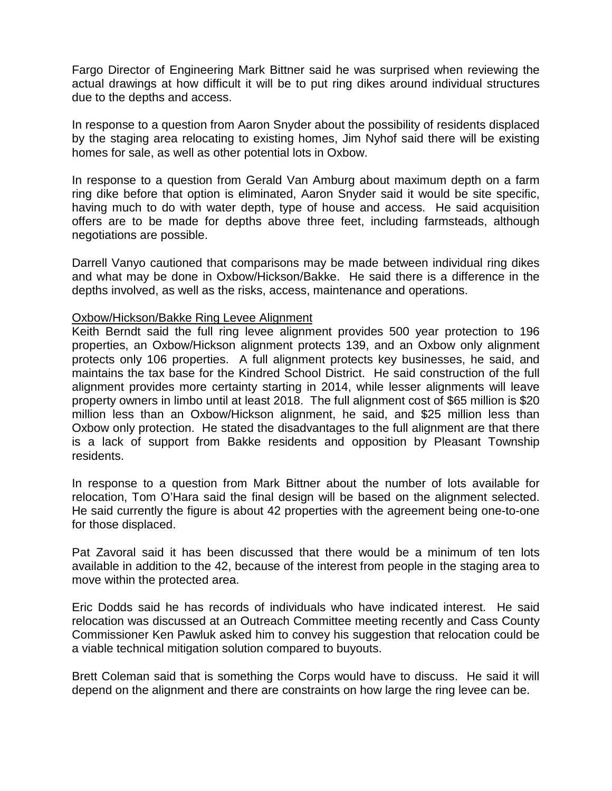Fargo Director of Engineering Mark Bittner said he was surprised when reviewing the actual drawings at how difficult it will be to put ring dikes around individual structures due to the depths and access.

In response to a question from Aaron Snyder about the possibility of residents displaced by the staging area relocating to existing homes, Jim Nyhof said there will be existing homes for sale, as well as other potential lots in Oxbow.

In response to a question from Gerald Van Amburg about maximum depth on a farm ring dike before that option is eliminated, Aaron Snyder said it would be site specific, having much to do with water depth, type of house and access. He said acquisition offers are to be made for depths above three feet, including farmsteads, although negotiations are possible.

Darrell Vanyo cautioned that comparisons may be made between individual ring dikes and what may be done in Oxbow/Hickson/Bakke. He said there is a difference in the depths involved, as well as the risks, access, maintenance and operations.

### Oxbow/Hickson/Bakke Ring Levee Alignment

Keith Berndt said the full ring levee alignment provides 500 year protection to 196 properties, an Oxbow/Hickson alignment protects 139, and an Oxbow only alignment protects only 106 properties. A full alignment protects key businesses, he said, and maintains the tax base for the Kindred School District. He said construction of the full alignment provides more certainty starting in 2014, while lesser alignments will leave property owners in limbo until at least 2018. The full alignment cost of \$65 million is \$20 million less than an Oxbow/Hickson alignment, he said, and \$25 million less than Oxbow only protection. He stated the disadvantages to the full alignment are that there is a lack of support from Bakke residents and opposition by Pleasant Township residents.

In response to a question from Mark Bittner about the number of lots available for relocation, Tom O'Hara said the final design will be based on the alignment selected. He said currently the figure is about 42 properties with the agreement being one-to-one for those displaced.

Pat Zavoral said it has been discussed that there would be a minimum of ten lots available in addition to the 42, because of the interest from people in the staging area to move within the protected area.

Eric Dodds said he has records of individuals who have indicated interest. He said relocation was discussed at an Outreach Committee meeting recently and Cass County Commissioner Ken Pawluk asked him to convey his suggestion that relocation could be a viable technical mitigation solution compared to buyouts.

Brett Coleman said that is something the Corps would have to discuss. He said it will depend on the alignment and there are constraints on how large the ring levee can be.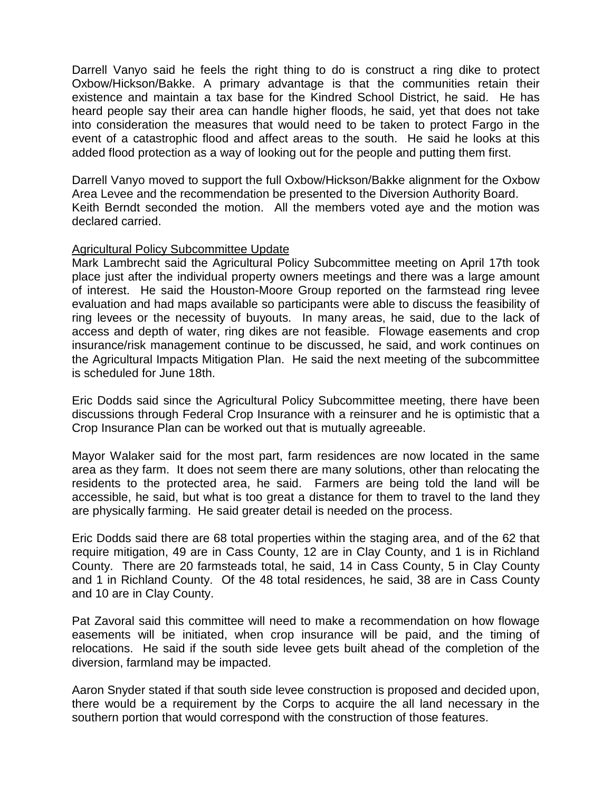Darrell Vanyo said he feels the right thing to do is construct a ring dike to protect Oxbow/Hickson/Bakke. A primary advantage is that the communities retain their existence and maintain a tax base for the Kindred School District, he said. He has heard people say their area can handle higher floods, he said, yet that does not take into consideration the measures that would need to be taken to protect Fargo in the event of a catastrophic flood and affect areas to the south. He said he looks at this added flood protection as a way of looking out for the people and putting them first.

Darrell Vanyo moved to support the full Oxbow/Hickson/Bakke alignment for the Oxbow Area Levee and the recommendation be presented to the Diversion Authority Board. Keith Berndt seconded the motion. All the members voted aye and the motion was declared carried.

# Agricultural Policy Subcommittee Update

Mark Lambrecht said the Agricultural Policy Subcommittee meeting on April 17th took place just after the individual property owners meetings and there was a large amount of interest. He said the Houston-Moore Group reported on the farmstead ring levee evaluation and had maps available so participants were able to discuss the feasibility of ring levees or the necessity of buyouts. In many areas, he said, due to the lack of access and depth of water, ring dikes are not feasible. Flowage easements and crop insurance/risk management continue to be discussed, he said, and work continues on the Agricultural Impacts Mitigation Plan. He said the next meeting of the subcommittee is scheduled for June 18th.

Eric Dodds said since the Agricultural Policy Subcommittee meeting, there have been discussions through Federal Crop Insurance with a reinsurer and he is optimistic that a Crop Insurance Plan can be worked out that is mutually agreeable.

Mayor Walaker said for the most part, farm residences are now located in the same area as they farm. It does not seem there are many solutions, other than relocating the residents to the protected area, he said. Farmers are being told the land will be accessible, he said, but what is too great a distance for them to travel to the land they are physically farming. He said greater detail is needed on the process.

Eric Dodds said there are 68 total properties within the staging area, and of the 62 that require mitigation, 49 are in Cass County, 12 are in Clay County, and 1 is in Richland County. There are 20 farmsteads total, he said, 14 in Cass County, 5 in Clay County and 1 in Richland County. Of the 48 total residences, he said, 38 are in Cass County and 10 are in Clay County.

Pat Zavoral said this committee will need to make a recommendation on how flowage easements will be initiated, when crop insurance will be paid, and the timing of relocations. He said if the south side levee gets built ahead of the completion of the diversion, farmland may be impacted.

Aaron Snyder stated if that south side levee construction is proposed and decided upon, there would be a requirement by the Corps to acquire the all land necessary in the southern portion that would correspond with the construction of those features.